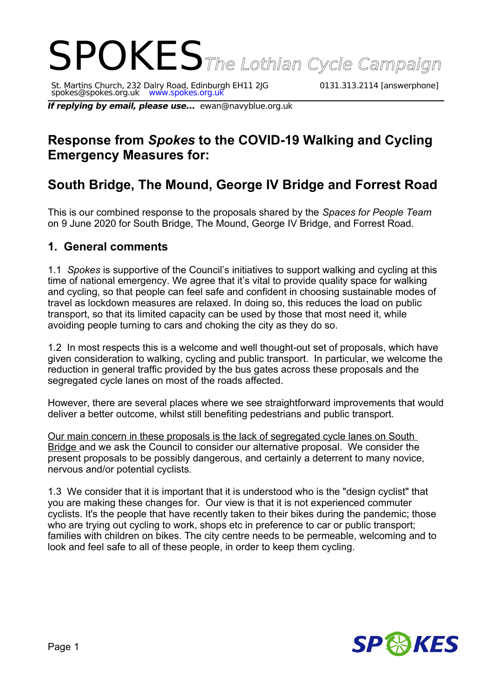# SPOKESThe Lothian Cycle Campaign

St. Martins Church, 232 Dalry Road, Edinburgh EH11 2JG 0131.313.2114 [answerphone] spokes@spokes.org.uk www.spokes.org.uk

**If replying by email, please use...** ewan@navyblue.org.uk

## **Response from** *Spokes* **to the COVID-19 Walking and Cycling Emergency Measures for:**

# **South Bridge, The Mound, George IV Bridge and Forrest Road**

This is our combined response to the proposals shared by the *Spaces for People Team* on 9 June 2020 for South Bridge, The Mound, George IV Bridge, and Forrest Road.

#### **1. General comments**

1.1 *Spokes* is supportive of the Council's initiatives to support walking and cycling at this time of national emergency. We agree that it's vital to provide quality space for walking and cycling, so that people can feel safe and confident in choosing sustainable modes of travel as lockdown measures are relaxed. In doing so, this reduces the load on public transport, so that its limited capacity can be used by those that most need it, while avoiding people turning to cars and choking the city as they do so.

1.2 In most respects this is a welcome and well thought-out set of proposals, which have given consideration to walking, cycling and public transport. In particular, we welcome the reduction in general traffic provided by the bus gates across these proposals and the segregated cycle lanes on most of the roads affected.

However, there are several places where we see straightforward improvements that would deliver a better outcome, whilst still benefiting pedestrians and public transport.

Our main concern in these proposals is the lack of segregated cycle lanes on South Bridge and we ask the Council to consider our alternative proposal. We consider the present proposals to be possibly dangerous, and certainly a deterrent to many novice, nervous and/or potential cyclists.

1.3 We consider that it is important that it is understood who is the "design cyclist" that you are making these changes for. Our view is that it is not experienced commuter cyclists. It's the people that have recently taken to their bikes during the pandemic; those who are trying out cycling to work, shops etc in preference to car or public transport; families with children on bikes. The city centre needs to be permeable, welcoming and to look and feel safe to all of these people, in order to keep them cycling.

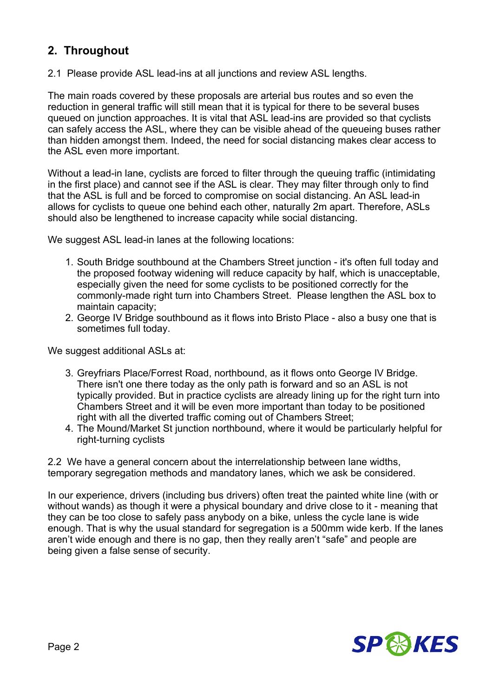#### **2. Throughout**

2.1 Please provide ASL lead-ins at all junctions and review ASL lengths.

The main roads covered by these proposals are arterial bus routes and so even the reduction in general traffic will still mean that it is typical for there to be several buses queued on junction approaches. It is vital that ASL lead-ins are provided so that cyclists can safely access the ASL, where they can be visible ahead of the queueing buses rather than hidden amongst them. Indeed, the need for social distancing makes clear access to the ASL even more important.

Without a lead-in lane, cyclists are forced to filter through the queuing traffic (intimidating in the first place) and cannot see if the ASL is clear. They may filter through only to find that the ASL is full and be forced to compromise on social distancing. An ASL lead-in allows for cyclists to queue one behind each other, naturally 2m apart. Therefore, ASLs should also be lengthened to increase capacity while social distancing.

We suggest ASL lead-in lanes at the following locations:

- 1. South Bridge southbound at the Chambers Street junction it's often full today and the proposed footway widening will reduce capacity by half, which is unacceptable, especially given the need for some cyclists to be positioned correctly for the commonly-made right turn into Chambers Street. Please lengthen the ASL box to maintain capacity;
- 2. George IV Bridge southbound as it flows into Bristo Place also a busy one that is sometimes full today.

We suggest additional ASLs at:

- 3. Greyfriars Place/Forrest Road, northbound, as it flows onto George IV Bridge. There isn't one there today as the only path is forward and so an ASL is not typically provided. But in practice cyclists are already lining up for the right turn into Chambers Street and it will be even more important than today to be positioned right with all the diverted traffic coming out of Chambers Street;
- 4. The Mound/Market St junction northbound, where it would be particularly helpful for right-turning cyclists

2.2 We have a general concern about the interrelationship between lane widths, temporary segregation methods and mandatory lanes, which we ask be considered.

In our experience, drivers (including bus drivers) often treat the painted white line (with or without wands) as though it were a physical boundary and drive close to it - meaning that they can be too close to safely pass anybody on a bike, unless the cycle lane is wide enough. That is why the usual standard for segregation is a 500mm wide kerb. If the lanes aren't wide enough and there is no gap, then they really aren't "safe" and people are being given a false sense of security.

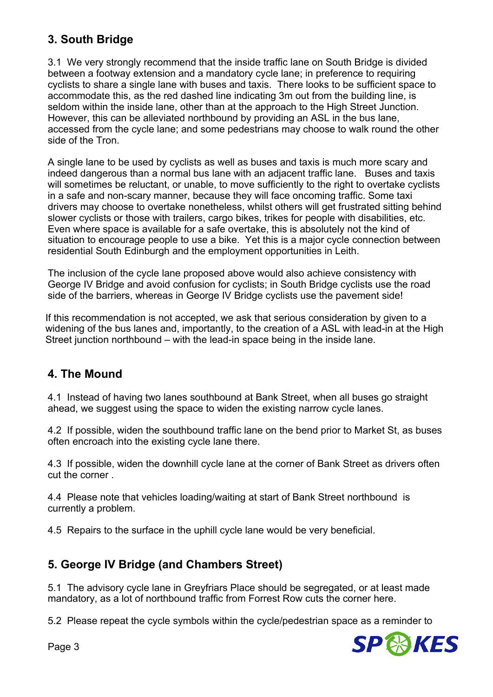## **3. South Bridge**

3.1 We very strongly recommend that the inside traffic lane on South Bridge is divided between a footway extension and a mandatory cycle lane; in preference to requiring cyclists to share a single lane with buses and taxis. There looks to be sufficient space to accommodate this, as the red dashed line indicating 3m out from the building line, is seldom within the inside lane, other than at the approach to the High Street Junction. However, this can be alleviated northbound by providing an ASL in the bus lane, accessed from the cycle lane; and some pedestrians may choose to walk round the other side of the Tron.

A single lane to be used by cyclists as well as buses and taxis is much more scary and indeed dangerous than a normal bus lane with an adjacent traffic lane. Buses and taxis will sometimes be reluctant, or unable, to move sufficiently to the right to overtake cyclists in a safe and non-scary manner, because they will face oncoming traffic. Some taxi drivers may choose to overtake nonetheless, whilst others will get frustrated sitting behind slower cyclists or those with trailers, cargo bikes, trikes for people with disabilities, etc. Even where space is available for a safe overtake, this is absolutely not the kind of situation to encourage people to use a bike. Yet this is a major cycle connection between residential South Edinburgh and the employment opportunities in Leith.

The inclusion of the cycle lane proposed above would also achieve consistency with George IV Bridge and avoid confusion for cyclists; in South Bridge cyclists use the road side of the barriers, whereas in George IV Bridge cyclists use the pavement side!

If this recommendation is not accepted, we ask that serious consideration by given to a widening of the bus lanes and, importantly, to the creation of a ASL with lead-in at the High Street junction northbound – with the lead-in space being in the inside lane.

## **4. The Mound**

4.1 Instead of having two lanes southbound at Bank Street, when all buses go straight ahead, we suggest using the space to widen the existing narrow cycle lanes.

4.2 If possible, widen the southbound traffic lane on the bend prior to Market St, as buses often encroach into the existing cycle lane there.

4.3 If possible, widen the downhill cycle lane at the corner of Bank Street as drivers often cut the corner .

4.4 Please note that vehicles loading/waiting at start of Bank Street northbound is currently a problem.

4.5 Repairs to the surface in the uphill cycle lane would be very beneficial.

#### **5. George IV Bridge (and Chambers Street)**

5.1 The advisory cycle lane in Greyfriars Place should be segregated, or at least made mandatory, as a lot of northbound traffic from Forrest Row cuts the corner here.

5.2 Please repeat the cycle symbols within the cycle/pedestrian space as a reminder to



Page 3